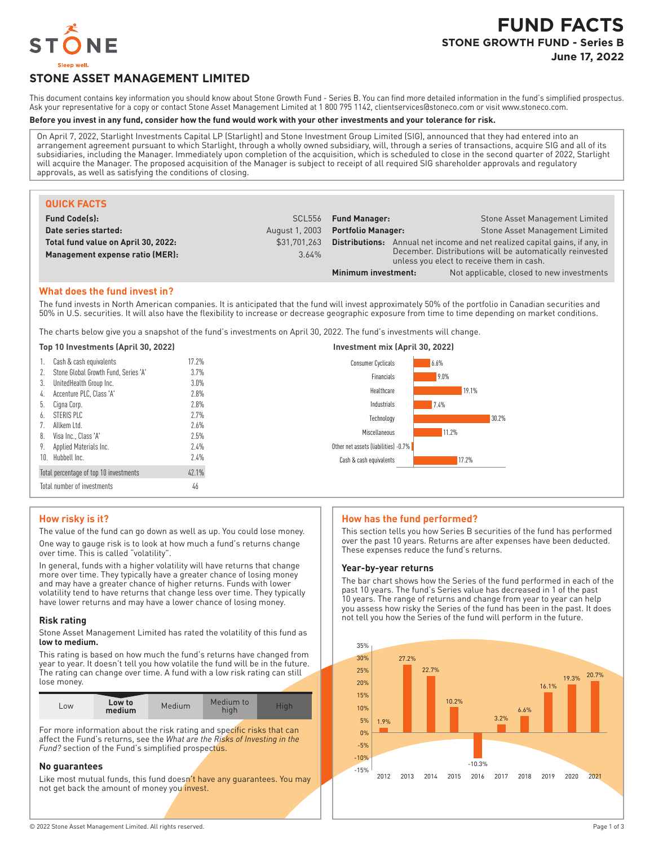

# **STONE ASSET MANAGEMENT LIMITED**

This document contains key information you should know about Stone Growth Fund - Series B. You can find more detailed information in the fund's simplified prospectus. Ask your representative for a copy or contact Stone Asset Management Limited at 1800 795 1142, clientservices@stoneco.com or visit www.stoneco.com.

#### **Before you invest in any fund, consider how the fund would work with your other investments and your tolerance for risk.**

On April 7, 2022, Starlight Investments Capital LP (Starlight) and Stone Investment Group Limited (SIG), announced that they had entered into an arrangement agreement pursuant to which Starlight, through a wholly owned subsidiary, will, through a series of transactions, acquire SIG and all of its subsidiaries, including the Manager. Immediately upon completion of the acquisition, which is scheduled to close in the second quarter of 2022, Starlight will acquire the Manager. The proposed acquisition of the Manager is subject to receipt of all required SIG shareholder approvals and regulatory approvals, as well as satisfying the conditions of closing.

| <b>QUICK FACTS</b>                  |                    |                                                                                                       |                                                              |
|-------------------------------------|--------------------|-------------------------------------------------------------------------------------------------------|--------------------------------------------------------------|
| <b>Fund Code(s):</b>                | SCL <sub>556</sub> | <b>Fund Manager:</b>                                                                                  | Stone Asset Management Limited                               |
| Date series started:                | August 1, 2003     | <b>Portfolio Manager:</b>                                                                             | Stone Asset Management Limited                               |
| Total fund value on April 30, 2022: | \$31.701.263       | Distributions:                                                                                        | Annual net income and net realized capital gains, if any, in |
| Management expense ratio (MER):     | 3.64%              | December. Distributions will be automatically reinvested<br>unless you elect to receive them in cash. |                                                              |
|                                     |                    | Minimum investment:                                                                                   | Not applicable, closed to new investments                    |

## **What does the fund invest in?**

The fund invests in North American companies. It is anticipated that the fund will invest approximately 50% of the portfolio in Canadian securities and 50% in U.S. securities. It will also have the flexibility to increase or decrease geographic exposure from time to time depending on market conditions.

The charts below give you a snapshot of the fund's investments on April 30, 2022. The fund's investments will change.

#### **Top 10 Investments (April 30, 2022) Investment mix (April 30, 2022)**

| 1. Cash & cash equivalents              | 17.2%   | Consumer Cyclicals                   | 6.6%  |
|-----------------------------------------|---------|--------------------------------------|-------|
| 2. Stone Global Growth Fund, Series 'A' | 3.7%    | Financials                           | 9.0%  |
| 3. UnitedHealth Group Inc.              | $3.0\%$ |                                      |       |
| 4. Accenture PLC, Class 'A'             | 2.8%    | Healthcare                           | 19.1% |
| 5. Cigna Corp.                          | 2.8%    | Industrials                          | 7.4%  |
| 6. STERIS PLC                           | 2.7%    | Technology                           | 30.2% |
| 7. Allkem Ltd.                          | 2.6%    |                                      |       |
| 8. Visa Inc., Class 'A'                 | 2.5%    | Miscellaneous                        | 11.2% |
| 9. Applied Materials Inc.               | 2.4%    | Other net assets (liabilities) -0.7% |       |
| 10. Hubbell Inc.                        | 2.4%    | Cash & cash equivalents              | 17.2% |
| Total percentage of top 10 investments  | 42.1%   |                                      |       |
| Total number of investments             | 46      |                                      |       |

## **How risky is it?**

The value of the fund can go down as well as up. You could lose money. One way to gauge risk is to look at how much a fund's returns change over time. This is called "volatility".

In general, funds with a higher volatility will have returns that change more over time. They typically have a greater chance of losing money and may have a greater chance of higher returns. Funds with lower volatility tend to have returns that change less over time. They typically have lower returns and may have a lower chance of losing money.

#### **Risk rating**

Stone Asset Management Limited has rated the volatility of this fund as **low to medium.**

This rating is based on how much the fund's returns have changed from year to year. It doesn't tell you how volatile the fund will be in the future. The rating can change over time. A fund with a low risk rating can still lose money.

| LOW | Low to<br>medium | Medium | Medium to | Tial. |
|-----|------------------|--------|-----------|-------|

For more information about the risk rating and specific risks that can affect the Fund's returns, see the *What are the Risks of Investing in the Fund?* section of the Fund's simplified prospectus.

## **No guarantees**

Like most mutual funds, this fund doesn't have any guarantees. You may not get back the amount of money you invest.

#### **How has the fund performed?**

This section tells you how Series B securities of the fund has performed over the past 10 years. Returns are after expenses have been deducted. These expenses reduce the fund's returns.

#### **Year-by-year returns**

The bar chart shows how the Series of the fund performed in each of the past 10 years. The fund's Series value has decreased in 1 of the past 10 years. The range of returns and change from year to year can help you assess how risky the Series of the fund has been in the past. It does not tell you how the Series of the fund will perform in the future.

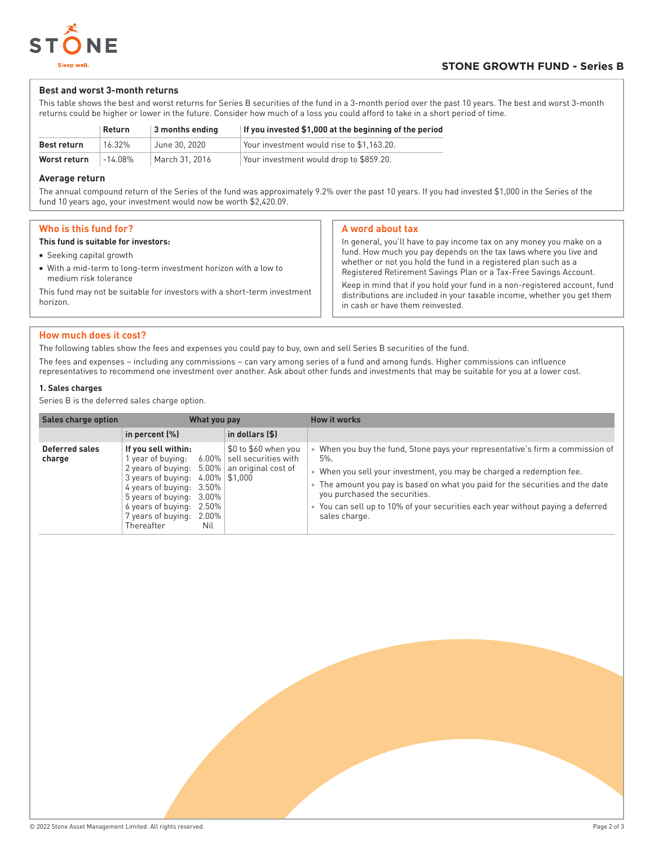

## **Best and worst 3-month returns**

This table shows the best and worst returns for Series B securities of the fund in a 3-month period over the past 10 years. The best and worst 3-month returns could be higher or lower in the future. Consider how much of a loss you could afford to take in a short period of time.

|                    | Return  | 3 months ending | If you invested \$1,000 at the beginning of the period |
|--------------------|---------|-----------------|--------------------------------------------------------|
| <b>Best return</b> | 16.32%  | June 30, 2020   | Your investment would rise to \$1,163.20.              |
| Worst return       | -14 08% | March 31, 2016  | Your investment would drop to \$859.20.                |

## **Average return**

The annual compound return of the Series of the fund was approximately 9.2% over the past 10 years. If you had invested \$1,000 in the Series of the fund 10 years ago, your investment would now be worth \$2,420.09.

| Who is this fund for? |  |  |  |  |  |
|-----------------------|--|--|--|--|--|
|-----------------------|--|--|--|--|--|

#### **This fund is suitable for investors:**

- Seeking capital growth
- With a mid-term to long-term investment horizon with a low to medium risk tolerance

This fund may not be suitable for investors with a short-term investment horizon.

## **A word about tax**

In general, you'll have to pay income tax on any money you make on a fund. How much you pay depends on the tax laws where you live and whether or not you hold the fund in a registered plan such as a Registered Retirement Savings Plan or a Tax-Free Savings Account. Keep in mind that if you hold your fund in a non-registered account, fund distributions are included in your taxable income, whether you get them in cash or have them reinvested.

## **How much does it cost?**

The following tables show the fees and expenses you could pay to buy, own and sell Series B securities of the fund.

The fees and expenses – including any commissions – can vary among series of a fund and among funds. Higher commissions can influence representatives to recommend one investment over another. Ask about other funds and investments that may be suitable for you at a lower cost.

## **1. Sales charges**

Series B is the deferred sales charge option.

| <b>Sales charge option</b> | What you pay                                                                                                                                                                                                                                    |                                                                                                    | <b>How it works</b>                                                                                                                                                                                                                                                                                                                                                               |
|----------------------------|-------------------------------------------------------------------------------------------------------------------------------------------------------------------------------------------------------------------------------------------------|----------------------------------------------------------------------------------------------------|-----------------------------------------------------------------------------------------------------------------------------------------------------------------------------------------------------------------------------------------------------------------------------------------------------------------------------------------------------------------------------------|
|                            | in percent $(\%)$                                                                                                                                                                                                                               | in dollars (\$)                                                                                    |                                                                                                                                                                                                                                                                                                                                                                                   |
| Deferred sales<br>charge   | If you sell within:<br>year of buying:<br>2 years of buying:<br>$5.00\%$<br>3 years of buying:<br>4 years of buying:<br>3.50%<br>5 years of buying:<br>3.00%<br>6 years of buying:<br>2.50%<br>7 years of buying:<br>2.00%<br>Thereafter<br>Nil | \$0 to \$60 when you<br>$6.00\%$ sell securities with<br>an original cost of<br>$4.00\%$   \$1,000 | When you buy the fund, Stone pays your representative's firm a commission of<br>$5\%$ .<br>When you sell your investment, you may be charged a redemption fee.<br>The amount you pay is based on what you paid for the securities and the date<br>you purchased the securities.<br>You can sell up to 10% of your securities each year without paying a deferred<br>sales charge. |